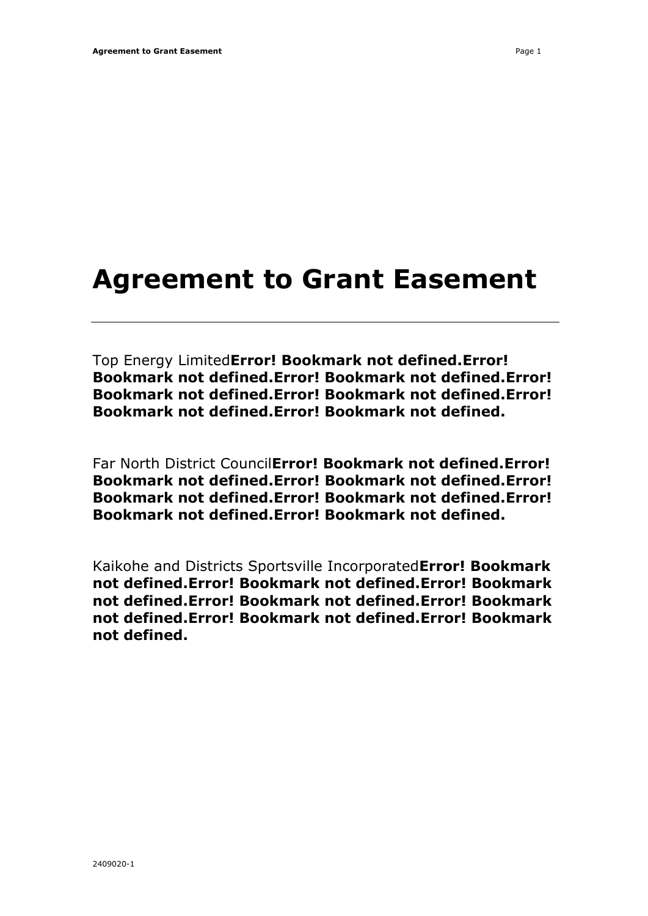# **Agreement to Grant Easement**

Top Energy Limited**Error! Bookmark not defined.Error! Bookmark not defined.Error! Bookmark not defined.Error! Bookmark not defined.Error! Bookmark not defined.Error! Bookmark not defined.Error! Bookmark not defined.**

Far North District Council**Error! Bookmark not defined.Error! Bookmark not defined.Error! Bookmark not defined.Error! Bookmark not defined.Error! Bookmark not defined.Error! Bookmark not defined.Error! Bookmark not defined.**

Kaikohe and Districts Sportsville Incorporated**Error! Bookmark not defined.Error! Bookmark not defined.Error! Bookmark not defined.Error! Bookmark not defined.Error! Bookmark not defined.Error! Bookmark not defined.Error! Bookmark not defined.**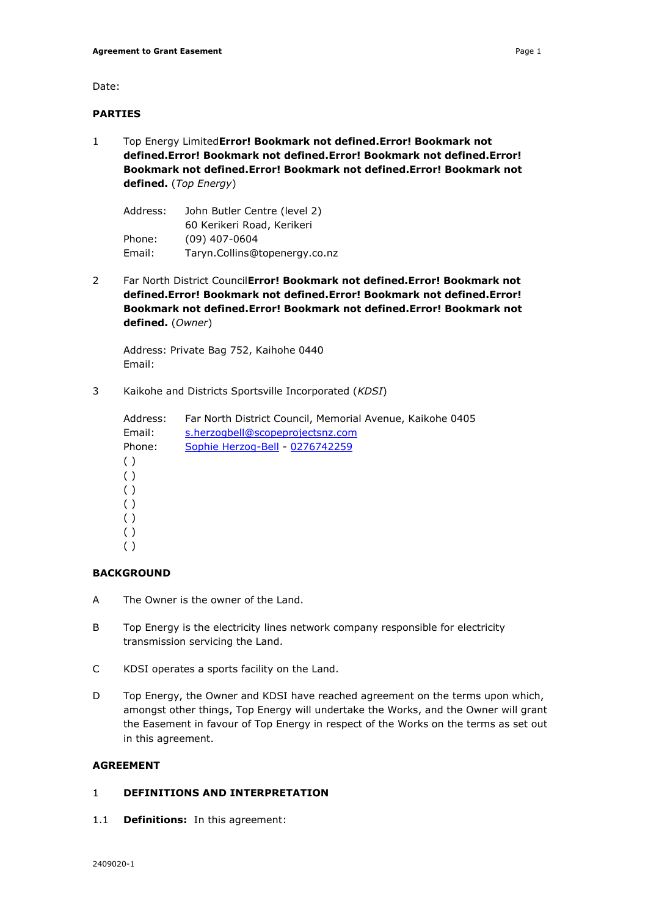Date:

# **PARTIES**

1 Top Energy Limited**Error! Bookmark not defined.Error! Bookmark not defined.Error! Bookmark not defined.Error! Bookmark not defined.Error! Bookmark not defined.Error! Bookmark not defined.Error! Bookmark not defined.** (*Top Energy*)

| Address: | John Butler Centre (level 2)  |  |  |
|----------|-------------------------------|--|--|
|          | 60 Kerikeri Road, Kerikeri    |  |  |
| Phone:   | $(09)$ 407-0604               |  |  |
| Email:   | Taryn.Collins@topenergy.co.nz |  |  |

2 Far North District Council**Error! Bookmark not defined.Error! Bookmark not defined.Error! Bookmark not defined.Error! Bookmark not defined.Error! Bookmark not defined.Error! Bookmark not defined.Error! Bookmark not defined.** (*Owner*)

Address: Private Bag 752, Kaihohe 0440 Email:

3 Kaikohe and Districts Sportsville Incorporated (*KDSI*)

| Address: | Far North District Council, Memorial Avenue, Kaikohe 0405 |
|----------|-----------------------------------------------------------|
| Email:   | s.herzogbell@scopeprojectsnz.com                          |
| Phone:   | Sophie Herzog-Bell - 0276742259                           |
| ( )      |                                                           |
| ( )      |                                                           |
| ( )      |                                                           |
| ( )      |                                                           |
| ( )      |                                                           |
| ( )      |                                                           |
| ( )      |                                                           |

# **BACKGROUND**

- A The Owner is the owner of the Land.
- B Top Energy is the electricity lines network company responsible for electricity transmission servicing the Land.
- C KDSI operates a sports facility on the Land.
- D Top Energy, the Owner and KDSI have reached agreement on the terms upon which, amongst other things, Top Energy will undertake the Works, and the Owner will grant the Easement in favour of Top Energy in respect of the Works on the terms as set out in this agreement.

# **AGREEMENT**

# 1 **DEFINITIONS AND INTERPRETATION**

1.1 **Definitions:** In this agreement: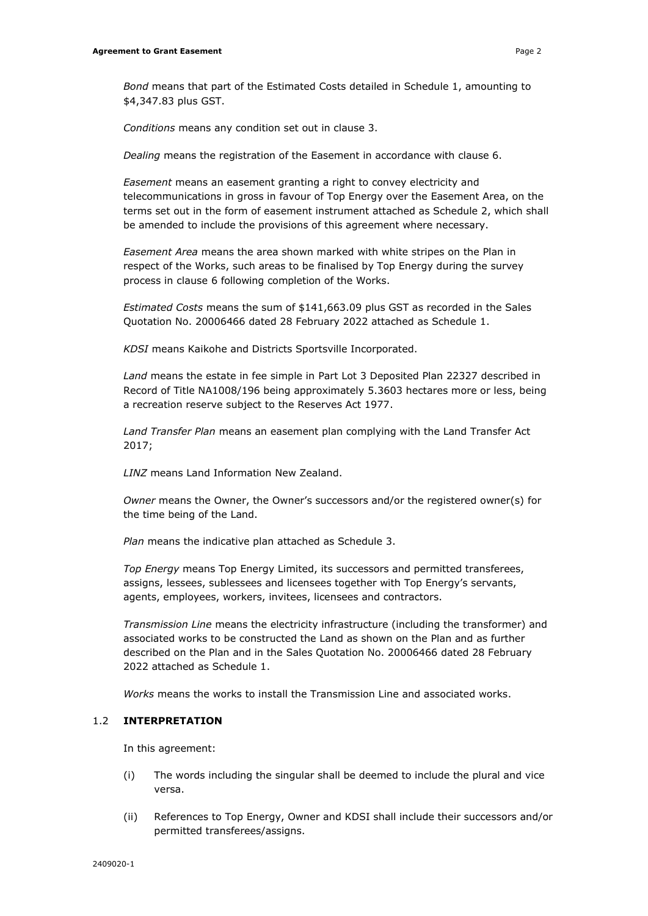*Bond* means that part of the Estimated Costs detailed in Schedule 1, amounting to \$4,347.83 plus GST.

*Conditions* means any condition set out in clause 3.

*Dealing* means the registration of the Easement in accordance with clause 6.

*Easement* means an easement granting a right to convey electricity and telecommunications in gross in favour of Top Energy over the Easement Area, on the terms set out in the form of easement instrument attached as Schedule 2, which shall be amended to include the provisions of this agreement where necessary.

*Easement Area* means the area shown marked with white stripes on the Plan in respect of the Works, such areas to be finalised by Top Energy during the survey process in clause 6 following completion of the Works.

*Estimated Costs* means the sum of \$141,663.09 plus GST as recorded in the Sales Quotation No. 20006466 dated 28 February 2022 attached as Schedule 1.

*KDSI* means Kaikohe and Districts Sportsville Incorporated.

*Land* means the estate in fee simple in Part Lot 3 Deposited Plan 22327 described in Record of Title NA1008/196 being approximately 5.3603 hectares more or less, being a recreation reserve subject to the Reserves Act 1977.

*Land Transfer Plan* means an easement plan complying with the Land Transfer Act 2017;

*LINZ* means Land Information New Zealand.

*Owner* means the Owner, the Owner's successors and/or the registered owner(s) for the time being of the Land.

*Plan* means the indicative plan attached as Schedule 3.

*Top Energy* means Top Energy Limited, its successors and permitted transferees, assigns, lessees, sublessees and licensees together with Top Energy's servants, agents, employees, workers, invitees, licensees and contractors.

*Transmission Line* means the electricity infrastructure (including the transformer) and associated works to be constructed the Land as shown on the Plan and as further described on the Plan and in the Sales Quotation No. 20006466 dated 28 February 2022 attached as Schedule 1.

*Works* means the works to install the Transmission Line and associated works.

# 1.2 **INTERPRETATION**

In this agreement:

- (i) The words including the singular shall be deemed to include the plural and vice versa.
- (ii) References to Top Energy, Owner and KDSI shall include their successors and/or permitted transferees/assigns.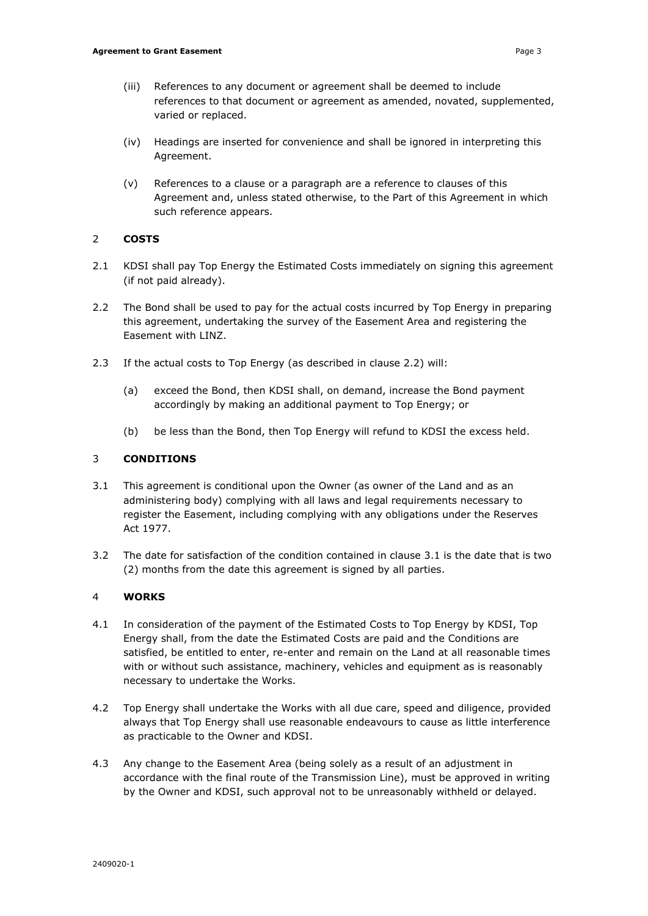- (iii) References to any document or agreement shall be deemed to include references to that document or agreement as amended, novated, supplemented, varied or replaced.
- (iv) Headings are inserted for convenience and shall be ignored in interpreting this Agreement.
- (v) References to a clause or a paragraph are a reference to clauses of this Agreement and, unless stated otherwise, to the Part of this Agreement in which such reference appears.

# 2 **COSTS**

- 2.1 KDSI shall pay Top Energy the Estimated Costs immediately on signing this agreement (if not paid already).
- 2.2 The Bond shall be used to pay for the actual costs incurred by Top Energy in preparing this agreement, undertaking the survey of the Easement Area and registering the Easement with LINZ.
- 2.3 If the actual costs to Top Energy (as described in clause 2.2) will:
	- (a) exceed the Bond, then KDSI shall, on demand, increase the Bond payment accordingly by making an additional payment to Top Energy; or
	- (b) be less than the Bond, then Top Energy will refund to KDSI the excess held.

# 3 **CONDITIONS**

- 3.1 This agreement is conditional upon the Owner (as owner of the Land and as an administering body) complying with all laws and legal requirements necessary to register the Easement, including complying with any obligations under the Reserves Act 1977.
- 3.2 The date for satisfaction of the condition contained in clause 3.1 is the date that is two (2) months from the date this agreement is signed by all parties.

# 4 **WORKS**

- 4.1 In consideration of the payment of the Estimated Costs to Top Energy by KDSI, Top Energy shall, from the date the Estimated Costs are paid and the Conditions are satisfied, be entitled to enter, re-enter and remain on the Land at all reasonable times with or without such assistance, machinery, vehicles and equipment as is reasonably necessary to undertake the Works.
- 4.2 Top Energy shall undertake the Works with all due care, speed and diligence, provided always that Top Energy shall use reasonable endeavours to cause as little interference as practicable to the Owner and KDSI.
- 4.3 Any change to the Easement Area (being solely as a result of an adjustment in accordance with the final route of the Transmission Line), must be approved in writing by the Owner and KDSI, such approval not to be unreasonably withheld or delayed.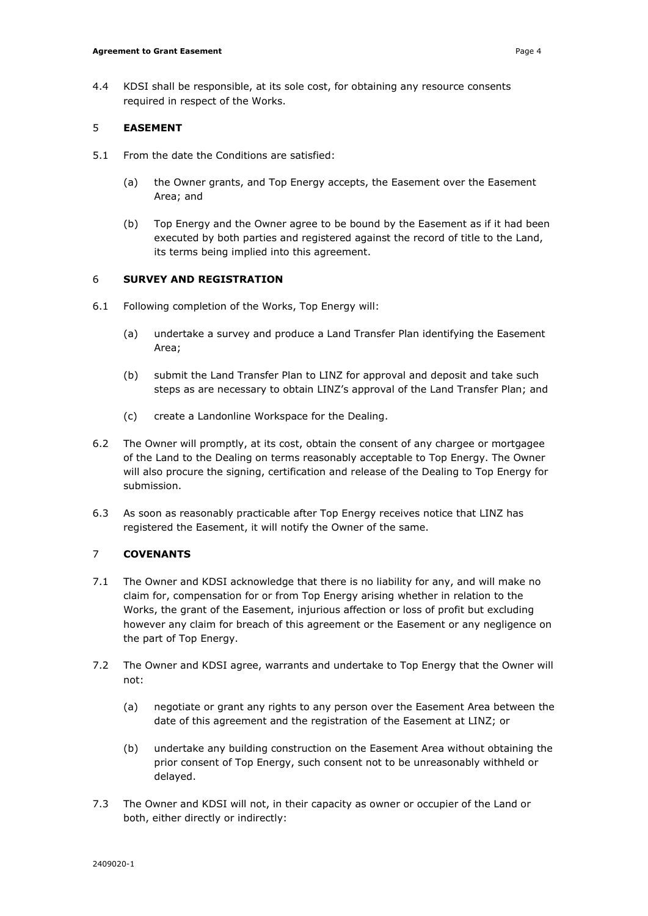4.4 KDSI shall be responsible, at its sole cost, for obtaining any resource consents required in respect of the Works.

# 5 **EASEMENT**

- 5.1 From the date the Conditions are satisfied:
	- (a) the Owner grants, and Top Energy accepts, the Easement over the Easement Area; and
	- (b) Top Energy and the Owner agree to be bound by the Easement as if it had been executed by both parties and registered against the record of title to the Land, its terms being implied into this agreement.

# 6 **SURVEY AND REGISTRATION**

- 6.1 Following completion of the Works, Top Energy will:
	- (a) undertake a survey and produce a Land Transfer Plan identifying the Easement Area;
	- (b) submit the Land Transfer Plan to LINZ for approval and deposit and take such steps as are necessary to obtain LINZ's approval of the Land Transfer Plan; and
	- (c) create a Landonline Workspace for the Dealing.
- 6.2 The Owner will promptly, at its cost, obtain the consent of any chargee or mortgagee of the Land to the Dealing on terms reasonably acceptable to Top Energy. The Owner will also procure the signing, certification and release of the Dealing to Top Energy for submission.
- 6.3 As soon as reasonably practicable after Top Energy receives notice that LINZ has registered the Easement, it will notify the Owner of the same.

# 7 **COVENANTS**

- 7.1 The Owner and KDSI acknowledge that there is no liability for any, and will make no claim for, compensation for or from Top Energy arising whether in relation to the Works, the grant of the Easement, injurious affection or loss of profit but excluding however any claim for breach of this agreement or the Easement or any negligence on the part of Top Energy.
- 7.2 The Owner and KDSI agree, warrants and undertake to Top Energy that the Owner will not:
	- (a) negotiate or grant any rights to any person over the Easement Area between the date of this agreement and the registration of the Easement at LINZ; or
	- (b) undertake any building construction on the Easement Area without obtaining the prior consent of Top Energy, such consent not to be unreasonably withheld or delayed.
- 7.3 The Owner and KDSI will not, in their capacity as owner or occupier of the Land or both, either directly or indirectly: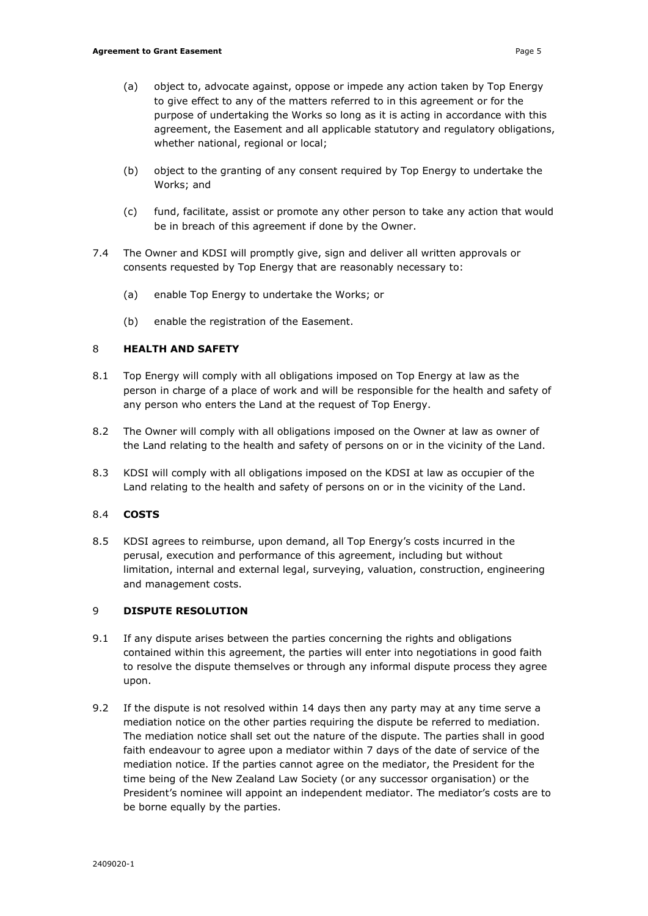- (a) object to, advocate against, oppose or impede any action taken by Top Energy to give effect to any of the matters referred to in this agreement or for the purpose of undertaking the Works so long as it is acting in accordance with this agreement, the Easement and all applicable statutory and regulatory obligations, whether national, regional or local;
- (b) object to the granting of any consent required by Top Energy to undertake the Works; and
- (c) fund, facilitate, assist or promote any other person to take any action that would be in breach of this agreement if done by the Owner.
- 7.4 The Owner and KDSI will promptly give, sign and deliver all written approvals or consents requested by Top Energy that are reasonably necessary to:
	- (a) enable Top Energy to undertake the Works; or
	- (b) enable the registration of the Easement.

# 8 **HEALTH AND SAFETY**

- 8.1 Top Energy will comply with all obligations imposed on Top Energy at law as the person in charge of a place of work and will be responsible for the health and safety of any person who enters the Land at the request of Top Energy.
- 8.2 The Owner will comply with all obligations imposed on the Owner at law as owner of the Land relating to the health and safety of persons on or in the vicinity of the Land.
- 8.3 KDSI will comply with all obligations imposed on the KDSI at law as occupier of the Land relating to the health and safety of persons on or in the vicinity of the Land.

# 8.4 **COSTS**

8.5 KDSI agrees to reimburse, upon demand, all Top Energy's costs incurred in the perusal, execution and performance of this agreement, including but without limitation, internal and external legal, surveying, valuation, construction, engineering and management costs.

# 9 **DISPUTE RESOLUTION**

- 9.1 If any dispute arises between the parties concerning the rights and obligations contained within this agreement, the parties will enter into negotiations in good faith to resolve the dispute themselves or through any informal dispute process they agree upon.
- 9.2 If the dispute is not resolved within 14 days then any party may at any time serve a mediation notice on the other parties requiring the dispute be referred to mediation. The mediation notice shall set out the nature of the dispute. The parties shall in good faith endeavour to agree upon a mediator within 7 days of the date of service of the mediation notice. If the parties cannot agree on the mediator, the President for the time being of the New Zealand Law Society (or any successor organisation) or the President's nominee will appoint an independent mediator. The mediator's costs are to be borne equally by the parties.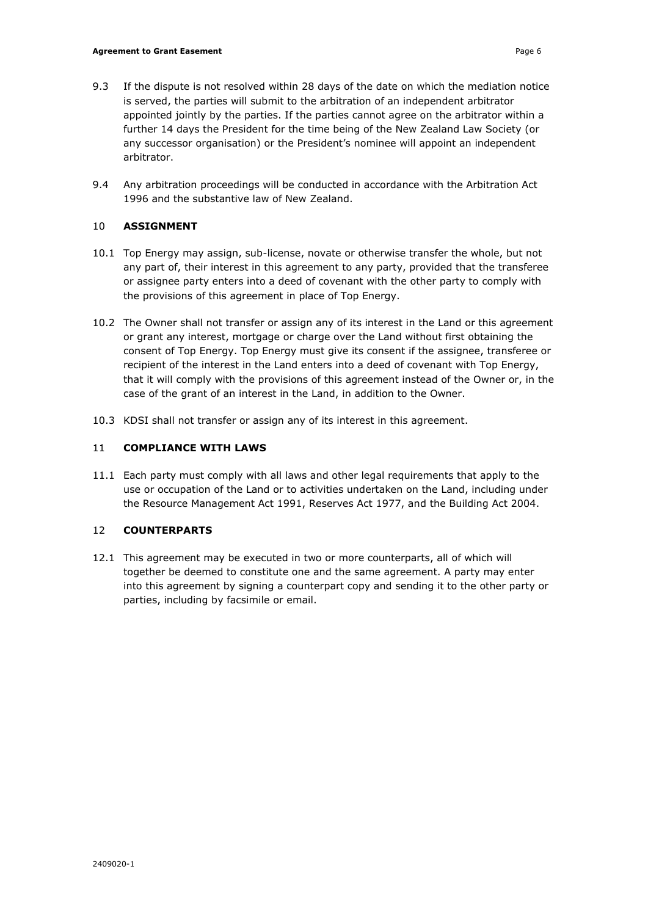- 9.3 If the dispute is not resolved within 28 days of the date on which the mediation notice is served, the parties will submit to the arbitration of an independent arbitrator appointed jointly by the parties. If the parties cannot agree on the arbitrator within a further 14 days the President for the time being of the New Zealand Law Society (or any successor organisation) or the President's nominee will appoint an independent arbitrator.
- 9.4 Any arbitration proceedings will be conducted in accordance with the Arbitration Act 1996 and the substantive law of New Zealand.

# 10 **ASSIGNMENT**

- 10.1 Top Energy may assign, sub-license, novate or otherwise transfer the whole, but not any part of, their interest in this agreement to any party, provided that the transferee or assignee party enters into a deed of covenant with the other party to comply with the provisions of this agreement in place of Top Energy.
- 10.2 The Owner shall not transfer or assign any of its interest in the Land or this agreement or grant any interest, mortgage or charge over the Land without first obtaining the consent of Top Energy. Top Energy must give its consent if the assignee, transferee or recipient of the interest in the Land enters into a deed of covenant with Top Energy, that it will comply with the provisions of this agreement instead of the Owner or, in the case of the grant of an interest in the Land, in addition to the Owner.
- 10.3 KDSI shall not transfer or assign any of its interest in this agreement.

# 11 **COMPLIANCE WITH LAWS**

11.1 Each party must comply with all laws and other legal requirements that apply to the use or occupation of the Land or to activities undertaken on the Land, including under the Resource Management Act 1991, Reserves Act 1977, and the Building Act 2004.

# 12 **COUNTERPARTS**

12.1 This agreement may be executed in two or more counterparts, all of which will together be deemed to constitute one and the same agreement. A party may enter into this agreement by signing a counterpart copy and sending it to the other party or parties, including by facsimile or email.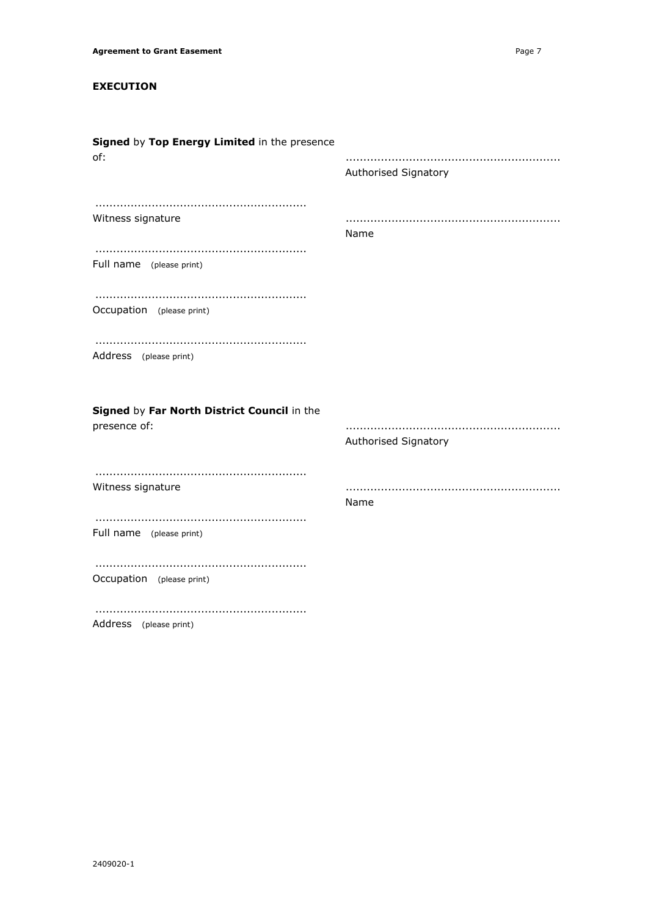# **EXECUTION**

| Signed by Top Energy Limited in the presence<br>of:         | Authorised Signatory |
|-------------------------------------------------------------|----------------------|
| Witness signature                                           | Name                 |
| Full name (please print)                                    |                      |
| Occupation (please print)                                   |                      |
| Address (please print)                                      |                      |
| Signed by Far North District Council in the<br>presence of: | Authorised Signatory |
| Witness signature                                           | Name                 |
| Full name (please print)                                    |                      |
| Occupation (please print)                                   |                      |
| Address (please print)                                      |                      |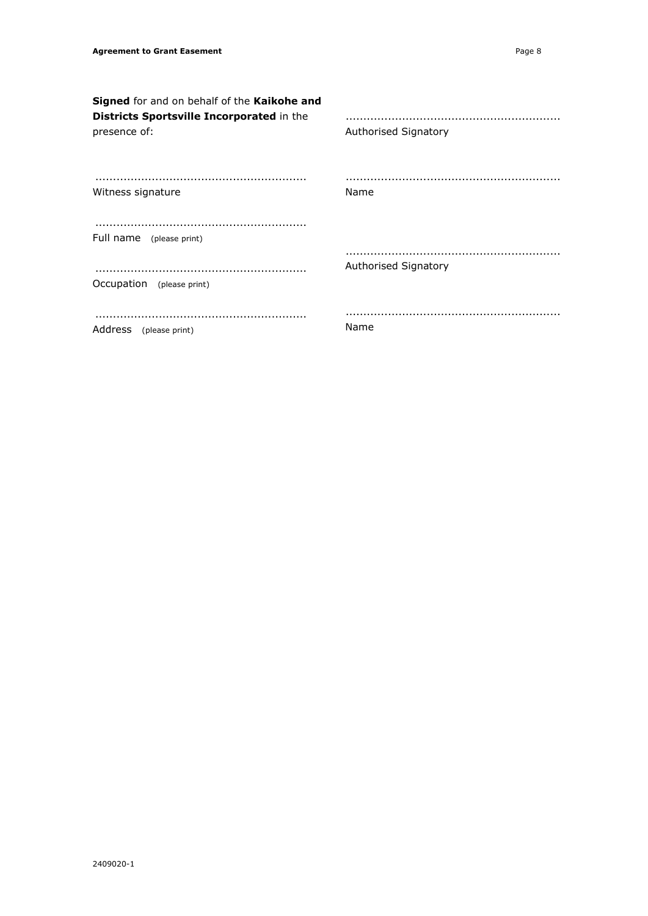**Signed** for and on behalf of the **Kaikohe and Districts Sportsville Incorporated** in the presence of: ............................................................ Witness signature ............................................................ Full name (please print) ............................................................ Occupation (please print) ............................................................ Address (please print) ............................................................. Authorised Signatory ............................................................. Name ............................................................. Authorised Signatory ............................................................. Name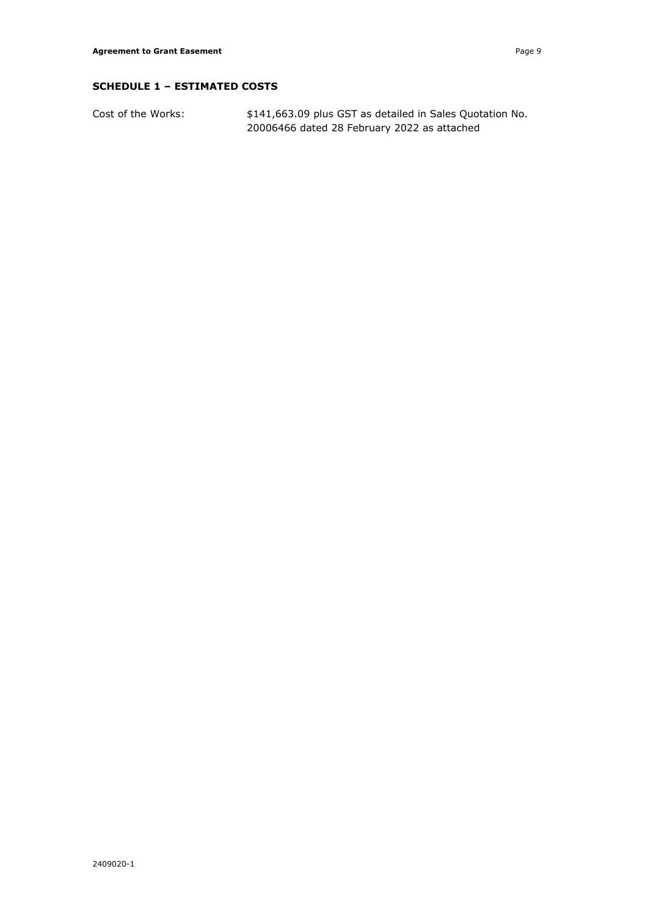# **SCHEDULE 1 – ESTIMATED COSTS**

Cost of the Works:  $$141,663.09$  plus GST as detailed in Sales Quotation No. 20006466 dated 28 February 2022 as attached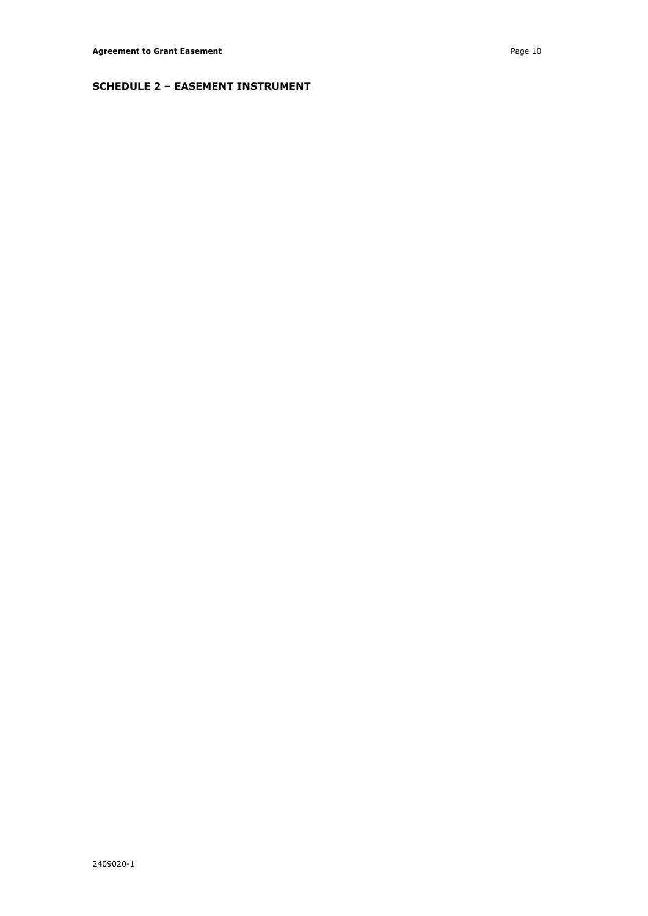# **SCHEDULE 2 – EASEMENT INSTRUMENT**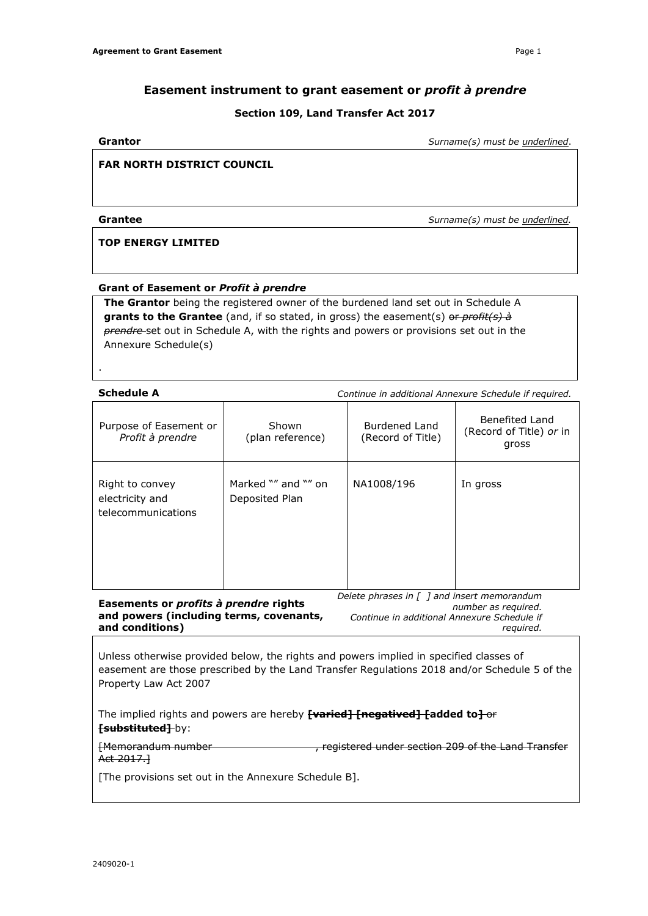# **Easement instrument to grant easement or** *profit à prendre*

# **Section 109, Land Transfer Act 2017**

**Grantor** *Surname(s) must be underlined*.

# **FAR NORTH DISTRICT COUNCIL**

**Grantee** *Surname(s) must be underlined.*

# **TOP ENERGY LIMITED**

#### **Grant of Easement or** *Profit à prendre*

**The Grantor** being the registered owner of the burdened land set out in Schedule A **grants to the Grantee** (and, if so stated, in gross) the easement(s) or *profit(s) à prendre* set out in Schedule A, with the rights and powers or provisions set out in the Annexure Schedule(s)

.

**Schedule A** *Continue in additional Annexure Schedule if required.*

| Purpose of Easement or<br>Profit à prendre                                                                              | Shown<br>(plan reference)             | Burdened Land<br>(Record of Title) | Benefited Land<br>(Record of Title) or in<br>gross |
|-------------------------------------------------------------------------------------------------------------------------|---------------------------------------|------------------------------------|----------------------------------------------------|
| Right to convey<br>electricity and<br>telecommunications                                                                | Marked "" and "" on<br>Deposited Plan | NA1008/196                         | In gross                                           |
| Delete phrases in $\int$ 1 and insert memorandum<br>Easements or <i>profits à prendre</i> rights<br>number as required. |                                       |                                    |                                                    |

**and powers (including terms, covenants, and conditions)**

*Continue in additional Annexure Schedule if required.*

Unless otherwise provided below, the rights and powers implied in specified classes of easement are those prescribed by the Land Transfer Regulations 2018 and/or Schedule 5 of the Property Law Act 2007

The implied rights and powers are hereby **[varied] [negatived] [added to]** or *[substituted]* **by:** 

[Memorandum number , registered under section 209 of the Land Transfer Act 2017.]

[The provisions set out in the Annexure Schedule B].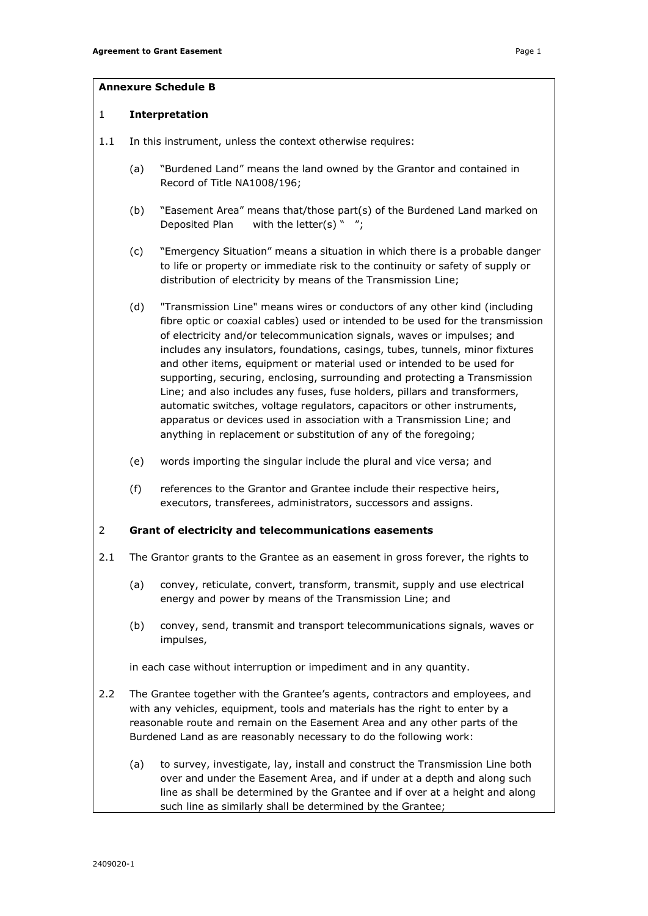# **Annexure Schedule B**

#### 1 **Interpretation**

- 1.1 In this instrument, unless the context otherwise requires:
	- (a) "Burdened Land" means the land owned by the Grantor and contained in Record of Title NA1008/196;
	- (b) "Easement Area" means that/those part(s) of the Burdened Land marked on Deposited Plan with the letter(s) " ";
	- (c) "Emergency Situation" means a situation in which there is a probable danger to life or property or immediate risk to the continuity or safety of supply or distribution of electricity by means of the Transmission Line;
	- (d) "Transmission Line" means wires or conductors of any other kind (including fibre optic or coaxial cables) used or intended to be used for the transmission of electricity and/or telecommunication signals, waves or impulses; and includes any insulators, foundations, casings, tubes, tunnels, minor fixtures and other items, equipment or material used or intended to be used for supporting, securing, enclosing, surrounding and protecting a Transmission Line; and also includes any fuses, fuse holders, pillars and transformers, automatic switches, voltage regulators, capacitors or other instruments, apparatus or devices used in association with a Transmission Line; and anything in replacement or substitution of any of the foregoing;
	- (e) words importing the singular include the plural and vice versa; and
	- (f) references to the Grantor and Grantee include their respective heirs, executors, transferees, administrators, successors and assigns.

# 2 **Grant of electricity and telecommunications easements**

- 2.1 The Grantor grants to the Grantee as an easement in gross forever, the rights to
	- (a) convey, reticulate, convert, transform, transmit, supply and use electrical energy and power by means of the Transmission Line; and
	- (b) convey, send, transmit and transport telecommunications signals, waves or impulses,

in each case without interruption or impediment and in any quantity.

- 2.2 The Grantee together with the Grantee's agents, contractors and employees, and with any vehicles, equipment, tools and materials has the right to enter by a reasonable route and remain on the Easement Area and any other parts of the Burdened Land as are reasonably necessary to do the following work:
	- (a) to survey, investigate, lay, install and construct the Transmission Line both over and under the Easement Area, and if under at a depth and along such line as shall be determined by the Grantee and if over at a height and along such line as similarly shall be determined by the Grantee;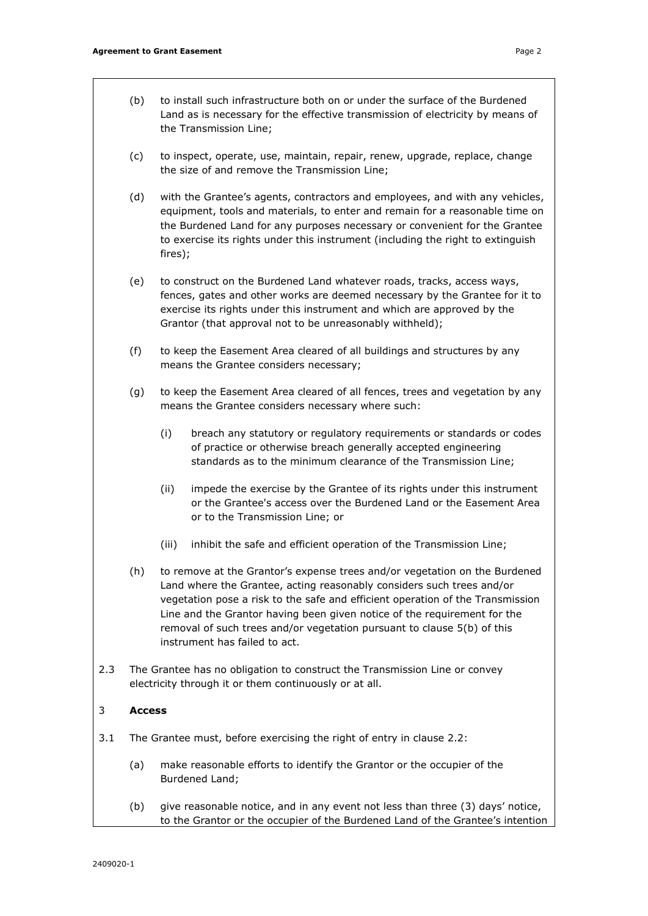- (b) to install such infrastructure both on or under the surface of the Burdened Land as is necessary for the effective transmission of electricity by means of the Transmission Line;
- (c) to inspect, operate, use, maintain, repair, renew, upgrade, replace, change the size of and remove the Transmission Line;
- (d) with the Grantee's agents, contractors and employees, and with any vehicles, equipment, tools and materials, to enter and remain for a reasonable time on the Burdened Land for any purposes necessary or convenient for the Grantee to exercise its rights under this instrument (including the right to extinguish fires);
- (e) to construct on the Burdened Land whatever roads, tracks, access ways, fences, gates and other works are deemed necessary by the Grantee for it to exercise its rights under this instrument and which are approved by the Grantor (that approval not to be unreasonably withheld);
- (f) to keep the Easement Area cleared of all buildings and structures by any means the Grantee considers necessary;
- (g) to keep the Easement Area cleared of all fences, trees and vegetation by any means the Grantee considers necessary where such:
	- (i) breach any statutory or regulatory requirements or standards or codes of practice or otherwise breach generally accepted engineering standards as to the minimum clearance of the Transmission Line;
	- (ii) impede the exercise by the Grantee of its rights under this instrument or the Grantee's access over the Burdened Land or the Easement Area or to the Transmission Line; or
	- (iii) inhibit the safe and efficient operation of the Transmission Line;
- (h) to remove at the Grantor's expense trees and/or vegetation on the Burdened Land where the Grantee, acting reasonably considers such trees and/or vegetation pose a risk to the safe and efficient operation of the Transmission Line and the Grantor having been given notice of the requirement for the removal of such trees and/or vegetation pursuant to clause 5(b) of this instrument has failed to act.
- 2.3 The Grantee has no obligation to construct the Transmission Line or convey electricity through it or them continuously or at all.

# 3 **Access**

- 3.1 The Grantee must, before exercising the right of entry in clause 2.2:
	- (a) make reasonable efforts to identify the Grantor or the occupier of the Burdened Land;
	- (b) give reasonable notice, and in any event not less than three (3) days' notice, to the Grantor or the occupier of the Burdened Land of the Grantee's intention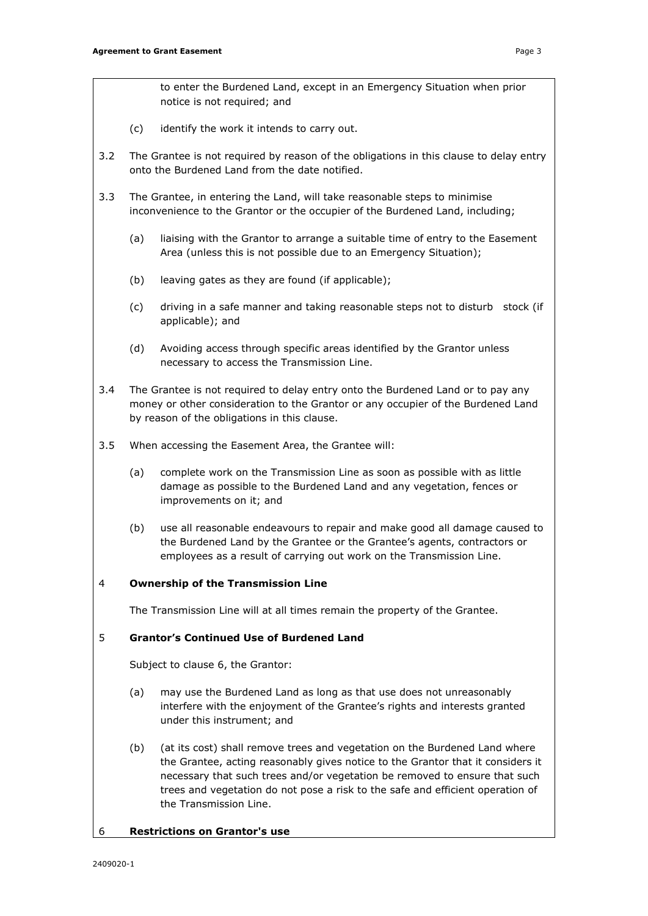to enter the Burdened Land, except in an Emergency Situation when prior notice is not required; and

- (c) identify the work it intends to carry out.
- 3.2 The Grantee is not required by reason of the obligations in this clause to delay entry onto the Burdened Land from the date notified.
- 3.3 The Grantee, in entering the Land, will take reasonable steps to minimise inconvenience to the Grantor or the occupier of the Burdened Land, including;
	- (a) liaising with the Grantor to arrange a suitable time of entry to the Easement Area (unless this is not possible due to an Emergency Situation);
	- (b) leaving gates as they are found (if applicable);
	- (c) driving in a safe manner and taking reasonable steps not to disturb stock (if applicable); and
	- (d) Avoiding access through specific areas identified by the Grantor unless necessary to access the Transmission Line.
- 3.4 The Grantee is not required to delay entry onto the Burdened Land or to pay any money or other consideration to the Grantor or any occupier of the Burdened Land by reason of the obligations in this clause.
- 3.5 When accessing the Easement Area, the Grantee will:
	- (a) complete work on the Transmission Line as soon as possible with as little damage as possible to the Burdened Land and any vegetation, fences or improvements on it; and
	- (b) use all reasonable endeavours to repair and make good all damage caused to the Burdened Land by the Grantee or the Grantee's agents, contractors or employees as a result of carrying out work on the Transmission Line.

# 4 **Ownership of the Transmission Line**

The Transmission Line will at all times remain the property of the Grantee.

# 5 **Grantor's Continued Use of Burdened Land**

Subject to clause 6, the Grantor:

- (a) may use the Burdened Land as long as that use does not unreasonably interfere with the enjoyment of the Grantee's rights and interests granted under this instrument; and
- (b) (at its cost) shall remove trees and vegetation on the Burdened Land where the Grantee, acting reasonably gives notice to the Grantor that it considers it necessary that such trees and/or vegetation be removed to ensure that such trees and vegetation do not pose a risk to the safe and efficient operation of the Transmission Line.

#### 6 **Restrictions on Grantor's use**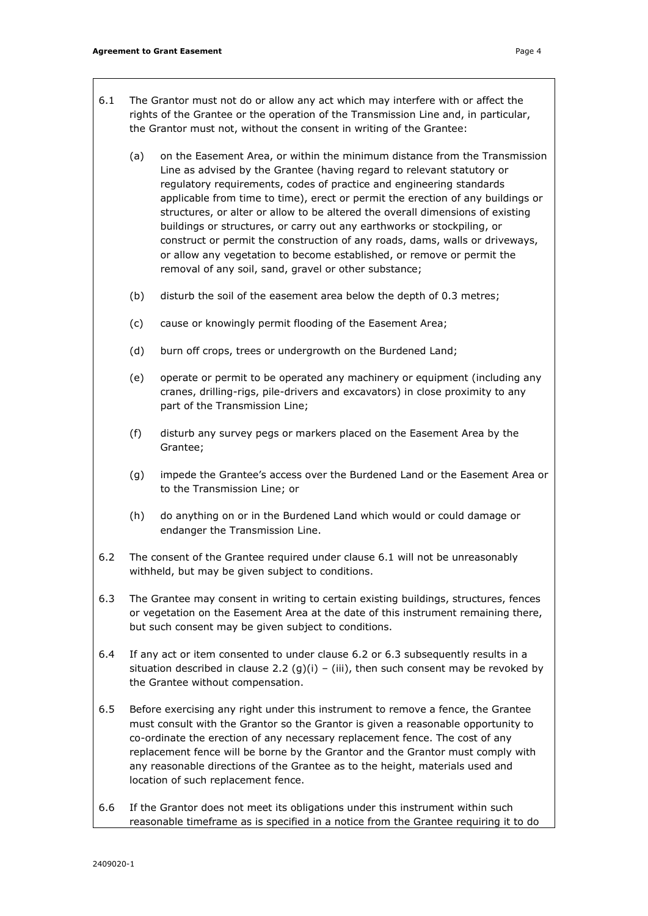- 6.1 The Grantor must not do or allow any act which may interfere with or affect the rights of the Grantee or the operation of the Transmission Line and, in particular, the Grantor must not, without the consent in writing of the Grantee:
	- (a) on the Easement Area, or within the minimum distance from the Transmission Line as advised by the Grantee (having regard to relevant statutory or regulatory requirements, codes of practice and engineering standards applicable from time to time), erect or permit the erection of any buildings or structures, or alter or allow to be altered the overall dimensions of existing buildings or structures, or carry out any earthworks or stockpiling, or construct or permit the construction of any roads, dams, walls or driveways, or allow any vegetation to become established, or remove or permit the removal of any soil, sand, gravel or other substance;
	- (b) disturb the soil of the easement area below the depth of 0.3 metres;
	- (c) cause or knowingly permit flooding of the Easement Area;
	- (d) burn off crops, trees or undergrowth on the Burdened Land;
	- (e) operate or permit to be operated any machinery or equipment (including any cranes, drilling-rigs, pile-drivers and excavators) in close proximity to any part of the Transmission Line;
	- (f) disturb any survey pegs or markers placed on the Easement Area by the Grantee;
	- (g) impede the Grantee's access over the Burdened Land or the Easement Area or to the Transmission Line; or
	- (h) do anything on or in the Burdened Land which would or could damage or endanger the Transmission Line.
- 6.2 The consent of the Grantee required under clause 6.1 will not be unreasonably withheld, but may be given subject to conditions.
- 6.3 The Grantee may consent in writing to certain existing buildings, structures, fences or vegetation on the Easement Area at the date of this instrument remaining there, but such consent may be given subject to conditions.
- 6.4 If any act or item consented to under clause 6.2 or 6.3 subsequently results in a situation described in clause 2.2 (g)(i) – (iii), then such consent may be revoked by the Grantee without compensation.
- 6.5 Before exercising any right under this instrument to remove a fence, the Grantee must consult with the Grantor so the Grantor is given a reasonable opportunity to co-ordinate the erection of any necessary replacement fence. The cost of any replacement fence will be borne by the Grantor and the Grantor must comply with any reasonable directions of the Grantee as to the height, materials used and location of such replacement fence.
- 6.6 If the Grantor does not meet its obligations under this instrument within such reasonable timeframe as is specified in a notice from the Grantee requiring it to do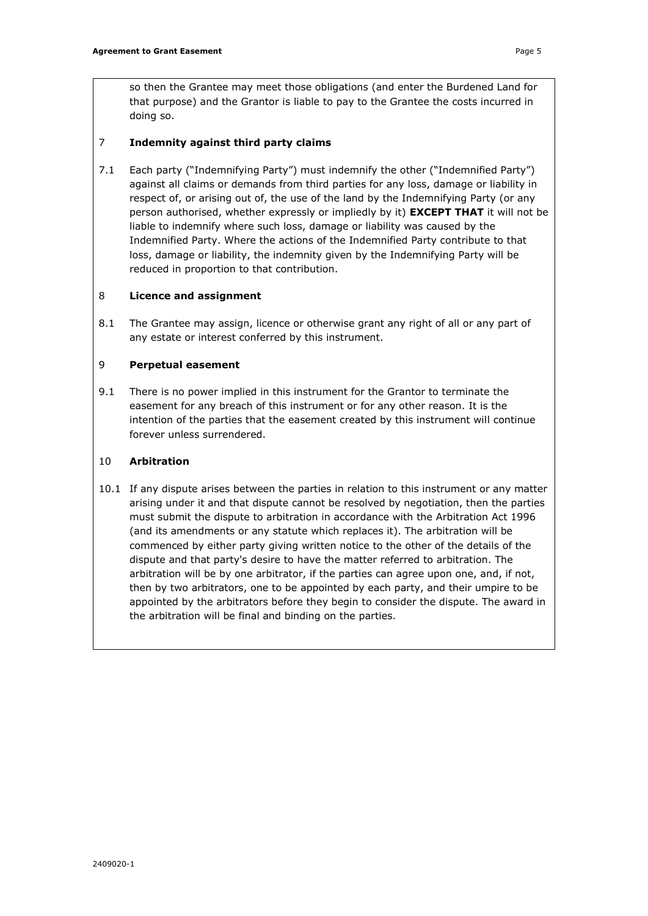so then the Grantee may meet those obligations (and enter the Burdened Land for that purpose) and the Grantor is liable to pay to the Grantee the costs incurred in doing so.

# 7 **Indemnity against third party claims**

7.1 Each party ("Indemnifying Party") must indemnify the other ("Indemnified Party") against all claims or demands from third parties for any loss, damage or liability in respect of, or arising out of, the use of the land by the Indemnifying Party (or any person authorised, whether expressly or impliedly by it) **EXCEPT THAT** it will not be liable to indemnify where such loss, damage or liability was caused by the Indemnified Party. Where the actions of the Indemnified Party contribute to that loss, damage or liability, the indemnity given by the Indemnifying Party will be reduced in proportion to that contribution.

# 8 **Licence and assignment**

8.1 The Grantee may assign, licence or otherwise grant any right of all or any part of any estate or interest conferred by this instrument.

# 9 **Perpetual easement**

9.1 There is no power implied in this instrument for the Grantor to terminate the easement for any breach of this instrument or for any other reason. It is the intention of the parties that the easement created by this instrument will continue forever unless surrendered.

# 10 **Arbitration**

10.1 If any dispute arises between the parties in relation to this instrument or any matter arising under it and that dispute cannot be resolved by negotiation, then the parties must submit the dispute to arbitration in accordance with the Arbitration Act 1996 (and its amendments or any statute which replaces it). The arbitration will be commenced by either party giving written notice to the other of the details of the dispute and that party's desire to have the matter referred to arbitration. The arbitration will be by one arbitrator, if the parties can agree upon one, and, if not, then by two arbitrators, one to be appointed by each party, and their umpire to be appointed by the arbitrators before they begin to consider the dispute. The award in the arbitration will be final and binding on the parties.